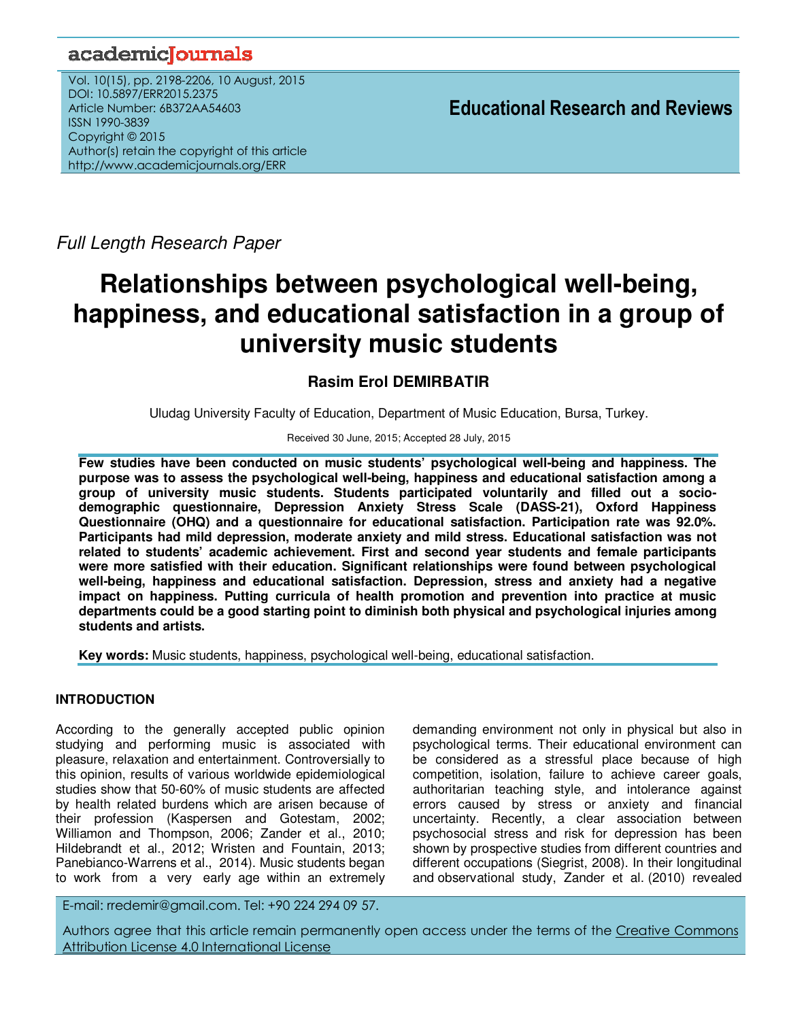# academiclournals

Vol. 10(15), pp. 2198-2206, 10 August, 2015 DOI: 10.5897/ERR2015.2375 Article Number: 6B372AA54603 ISSN 1990-3839 Copyright © 2015 Author(s) retain the copyright of this article http://www.academicjournals.org/ERR

**Educational Research and Reviews**

Full Length Research Paper

# **Relationships between psychological well-being, happiness, and educational satisfaction in a group of university music students**

# **Rasim Erol DEMIRBATIR**

Uludag University Faculty of Education, Department of Music Education, Bursa, Turkey.

#### Received 30 June, 2015; Accepted 28 July, 2015

**Few studies have been conducted on music students' psychological well-being and happiness. The purpose was to assess the psychological well-being, happiness and educational satisfaction among a group of university music students. Students participated voluntarily and filled out a sociodemographic questionnaire, Depression Anxiety Stress Scale (DASS-21), Oxford Happiness Questionnaire (OHQ) and a questionnaire for educational satisfaction. Participation rate was 92.0%. Participants had mild depression, moderate anxiety and mild stress. Educational satisfaction was not related to students' academic achievement. First and second year students and female participants were more satisfied with their education. Significant relationships were found between psychological well-being, happiness and educational satisfaction. Depression, stress and anxiety had a negative impact on happiness. Putting curricula of health promotion and prevention into practice at music departments could be a good starting point to diminish both physical and psychological injuries among students and artists.** 

**Key words:** Music students, happiness, psychological well-being, educational satisfaction.

# **INTRODUCTION**

According to the generally accepted public opinion studying and performing music is associated with pleasure, relaxation and entertainment. Controversially to this opinion, results of various worldwide epidemiological studies show that 50-60% of music students are affected by health related burdens which are arisen because of their profession (Kaspersen and Gotestam, 2002; Williamon and Thompson, 2006; Zander et al., 2010; Hildebrandt et al., 2012; Wristen and Fountain, 2013; Panebianco-Warrens et al., 2014). Music students began to work from a very early age within an extremely

demanding environment not only in physical but also in psychological terms. Their educational environment can be considered as a stressful place because of high competition, isolation, failure to achieve career goals, authoritarian teaching style, and intolerance against errors caused by stress or anxiety and financial uncertainty. Recently, a clear association between psychosocial stress and risk for depression has been shown by prospective studies from different countries and different occupations (Siegrist, 2008). In their longitudinal and observational study, Zander et al. (2010) revealed

E-mail: rredemir@gmail.com. Tel: +90 224 294 09 57.

Authors agree that this article remain permanently open access under the terms of the Creative Commons Attribution License 4.0 International License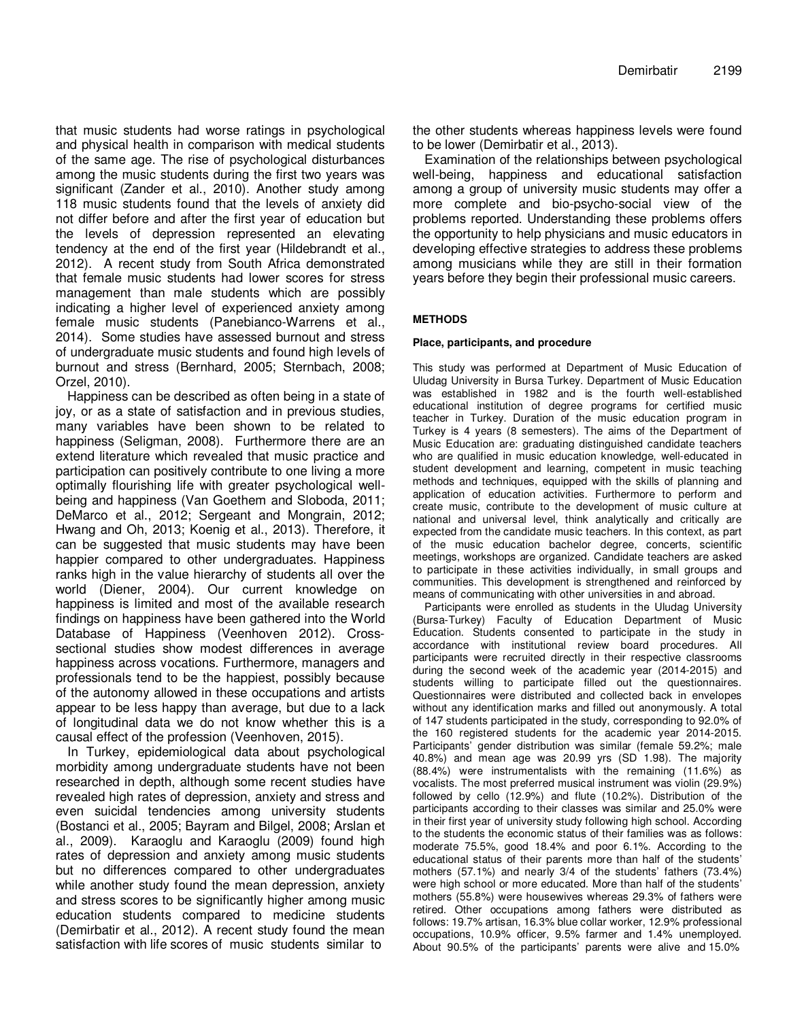that music students had worse ratings in psychological and physical health in comparison with medical students of the same age. The rise of psychological disturbances among the music students during the first two years was significant (Zander et al., 2010). Another study among 118 music students found that the levels of anxiety did not differ before and after the first year of education but the levels of depression represented an elevating tendency at the end of the first year (Hildebrandt et al., 2012). A recent study from South Africa demonstrated that female music students had lower scores for stress management than male students which are possibly indicating a higher level of experienced anxiety among female music students (Panebianco-Warrens et al., 2014). Some studies have assessed burnout and stress of undergraduate music students and found high levels of burnout and stress (Bernhard, 2005; Sternbach, 2008; Orzel, 2010).

Happiness can be described as often being in a state of joy, or as a state of satisfaction and in previous studies, many variables have been shown to be related to happiness (Seligman, 2008). Furthermore there are an extend literature which revealed that music practice and participation can positively contribute to one living a more optimally flourishing life with greater psychological wellbeing and happiness (Van Goethem and Sloboda, 2011; DeMarco et al., 2012; Sergeant and Mongrain, 2012; Hwang and Oh, 2013; Koenig et al., 2013). Therefore, it can be suggested that music students may have been happier compared to other undergraduates. Happiness ranks high in the value hierarchy of students all over the world (Diener, 2004). Our current knowledge on happiness is limited and most of the available research findings on happiness have been gathered into the World Database of Happiness (Veenhoven 2012). Crosssectional studies show modest differences in average happiness across vocations. Furthermore, managers and professionals tend to be the happiest, possibly because of the autonomy allowed in these occupations and artists appear to be less happy than average, but due to a lack of longitudinal data we do not know whether this is a causal effect of the profession (Veenhoven, 2015).

In Turkey, epidemiological data about psychological morbidity among undergraduate students have not been researched in depth, although some recent studies have revealed high rates of depression, anxiety and stress and even suicidal tendencies among university students (Bostanci et al., 2005; Bayram and Bilgel, 2008; Arslan et al., 2009). Karaoglu and Karaoglu (2009) found high rates of depression and anxiety among music students but no differences compared to other undergraduates while another study found the mean depression, anxiety and stress scores to be significantly higher among music education students compared to medicine students (Demirbatir et al., 2012). A recent study found the mean satisfaction with life scores of music students similar to

the other students whereas happiness levels were found to be lower (Demirbatir et al., 2013).

Examination of the relationships between psychological well-being, happiness and educational satisfaction among a group of university music students may offer a more complete and bio-psycho-social view of the problems reported. Understanding these problems offers the opportunity to help physicians and music educators in developing effective strategies to address these problems among musicians while they are still in their formation years before they begin their professional music careers.

## **METHODS**

#### **Place, participants, and procedure**

This study was performed at Department of Music Education of Uludag University in Bursa Turkey. Department of Music Education was established in 1982 and is the fourth well-established educational institution of degree programs for certified music teacher in Turkey. Duration of the music education program in Turkey is 4 years (8 semesters). The aims of the Department of Music Education are: graduating distinguished candidate teachers who are qualified in music education knowledge, well-educated in student development and learning, competent in music teaching methods and techniques, equipped with the skills of planning and application of education activities. Furthermore to perform and create music, contribute to the development of music culture at national and universal level, think analytically and critically are expected from the candidate music teachers. In this context, as part of the music education bachelor degree, concerts, scientific meetings, workshops are organized. Candidate teachers are asked to participate in these activities individually, in small groups and communities. This development is strengthened and reinforced by means of communicating with other universities in and abroad.

Participants were enrolled as students in the Uludag University (Bursa-Turkey) Faculty of Education Department of Music Education. Students consented to participate in the study in accordance with institutional review board procedures. All participants were recruited directly in their respective classrooms during the second week of the academic year (2014-2015) and students willing to participate filled out the questionnaires. Questionnaires were distributed and collected back in envelopes without any identification marks and filled out anonymously. A total of 147 students participated in the study, corresponding to 92.0% of the 160 registered students for the academic year 2014-2015. Participants' gender distribution was similar (female 59.2%; male 40.8%) and mean age was 20.99 yrs (SD 1.98). The majority (88.4%) were instrumentalists with the remaining (11.6%) as vocalists. The most preferred musical instrument was violin (29.9%) followed by cello (12.9%) and flute (10.2%). Distribution of the participants according to their classes was similar and 25.0% were in their first year of university study following high school. According to the students the economic status of their families was as follows: moderate 75.5%, good 18.4% and poor 6.1%. According to the educational status of their parents more than half of the students' mothers (57.1%) and nearly 3/4 of the students' fathers (73.4%) were high school or more educated. More than half of the students' mothers (55.8%) were housewives whereas 29.3% of fathers were retired. Other occupations among fathers were distributed as follows: 19.7% artisan, 16.3% blue collar worker, 12.9% professional occupations, 10.9% officer, 9.5% farmer and 1.4% unemployed. About 90.5% of the participants' parents were alive and 15.0%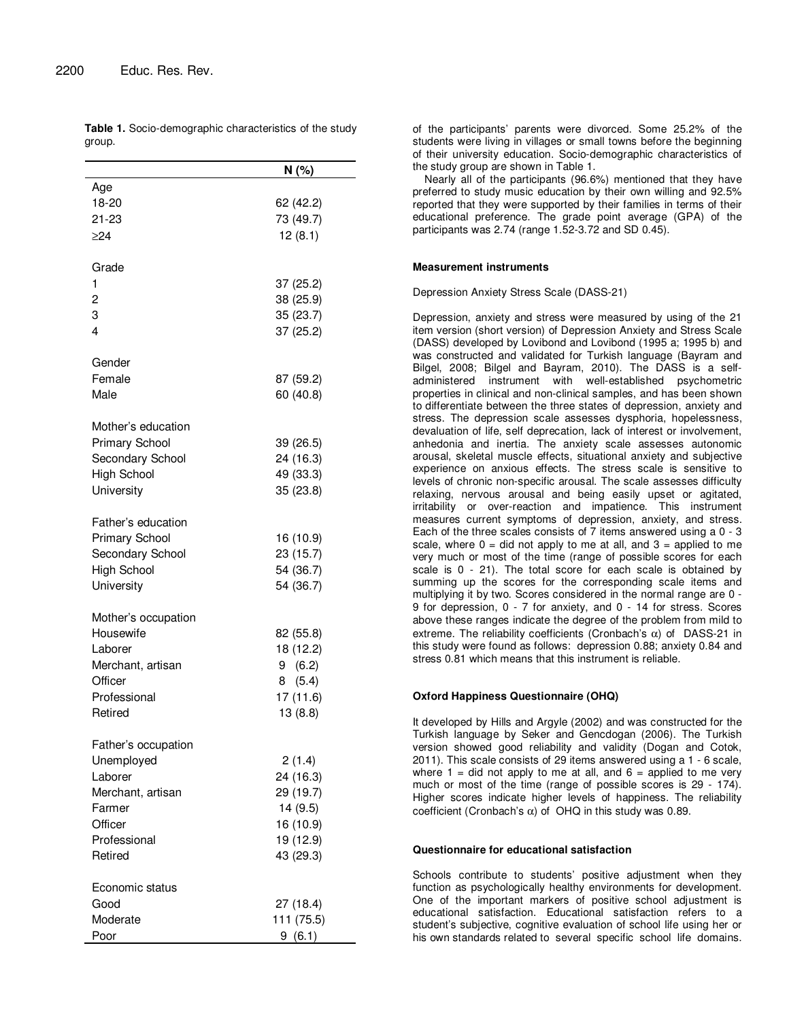|                         | N (%)      |
|-------------------------|------------|
| Age                     |            |
| 18-20                   | 62 (42.2)  |
| 21-23                   | 73 (49.7)  |
| ≥24                     | 12(8.1)    |
|                         |            |
| Grade                   |            |
| 1                       | 37 (25.2)  |
| 2                       | 38 (25.9)  |
|                         |            |
| 3                       | 35 (23.7)  |
| $\overline{\mathbf{4}}$ | 37 (25.2)  |
|                         |            |
| Gender                  |            |
| Female                  | 87 (59.2)  |
| Male                    | 60 (40.8)  |
|                         |            |
| Mother's education      |            |
| <b>Primary School</b>   | 39 (26.5)  |
| Secondary School        | 24 (16.3)  |
| <b>High School</b>      | 49 (33.3)  |
| University              | 35 (23.8)  |
|                         |            |
| Father's education      |            |
| <b>Primary School</b>   | 16 (10.9)  |
| Secondary School        | 23 (15.7)  |
| <b>High School</b>      | 54 (36.7)  |
|                         |            |
| University              | 54 (36.7)  |
| Mother's occupation     |            |
|                         |            |
| Housewife               | 82 (55.8)  |
| Laborer                 | 18 (12.2)  |
| Merchant, artisan       | 9(6.2)     |
| Officer                 | 8(5.4)     |
| Professional            | 17 (11.6)  |
| Retired                 | 13(8.8)    |
|                         |            |
| Father's occupation     |            |
| Unemployed              | 2(1.4)     |
| Laborer                 | 24 (16.3)  |
| Merchant, artisan       | 29 (19.7)  |
| Farmer                  | 14(9.5)    |
| Officer                 | 16 (10.9)  |
| Professional            | 19 (12.9)  |
| Retired                 |            |
|                         | 43 (29.3)  |
| Economic status         |            |
| Good                    |            |
|                         | 27 (18.4)  |
| Moderate                | 111 (75.5) |
| Poor                    | 9(6.1)     |

**Table 1.** Socio-demographic characteristics of the study group.

of the participants' parents were divorced. Some 25.2% of the students were living in villages or small towns before the beginning of their university education. Socio-demographic characteristics of the study group are shown in Table 1.

Nearly all of the participants (96.6%) mentioned that they have preferred to study music education by their own willing and 92.5% reported that they were supported by their families in terms of their educational preference. The grade point average (GPA) of the participants was 2.74 (range 1.52-3.72 and SD 0.45).

#### **Measurement instruments**

Depression Anxiety Stress Scale (DASS-21)

Depression, anxiety and stress were measured by using of the 21 item version (short version) of Depression Anxiety and Stress Scale (DASS) developed by Lovibond and Lovibond (1995 a; 1995 b) and was constructed and validated for Turkish language (Bayram and Bilgel, 2008; Bilgel and Bayram, 2010). The DASS is a selfadministered instrument with well-established psychometric properties in clinical and non-clinical samples, and has been shown to differentiate between the three states of depression, anxiety and stress. The depression scale assesses dysphoria, hopelessness, devaluation of life, self deprecation, lack of interest or involvement, anhedonia and inertia. The anxiety scale assesses autonomic arousal, skeletal muscle effects, situational anxiety and subjective experience on anxious effects. The stress scale is sensitive to levels of chronic non-specific arousal. The scale assesses difficulty relaxing, nervous arousal and being easily upset or agitated, irritability or over-reaction and impatience. This instrument measures current symptoms of depression, anxiety, and stress. Each of the three scales consists of 7 items answered using a 0 - 3 scale, where  $0 = did not apply to me at all, and  $3 = applied to me$$ very much or most of the time (range of possible scores for each scale is 0 - 21). The total score for each scale is obtained by summing up the scores for the corresponding scale items and multiplying it by two. Scores considered in the normal range are 0 - 9 for depression, 0 - 7 for anxiety, and 0 - 14 for stress. Scores above these ranges indicate the degree of the problem from mild to extreme. The reliability coefficients (Cronbach's  $\alpha$ ) of DASS-21 in this study were found as follows: depression 0.88; anxiety 0.84 and stress 0.81 which means that this instrument is reliable.

#### **Oxford Happiness Questionnaire (OHQ)**

It developed by Hills and Argyle (2002) and was constructed for the Turkish language by Seker and Gencdogan (2006). The Turkish version showed good reliability and validity (Dogan and Cotok, 2011). This scale consists of 29 items answered using a 1 - 6 scale, where  $1 =$  did not apply to me at all, and  $6 =$  applied to me very much or most of the time (range of possible scores is 29 - 174). Higher scores indicate higher levels of happiness. The reliability coefficient (Cronbach's  $\alpha$ ) of OHQ in this study was 0.89.

#### **Questionnaire for educational satisfaction**

Schools contribute to students' positive adjustment when they function as psychologically healthy environments for development. One of the important markers of positive school adjustment is educational satisfaction. Educational satisfaction refers to a student's subjective, cognitive evaluation of school life using her or his own standards related to several specific school life domains.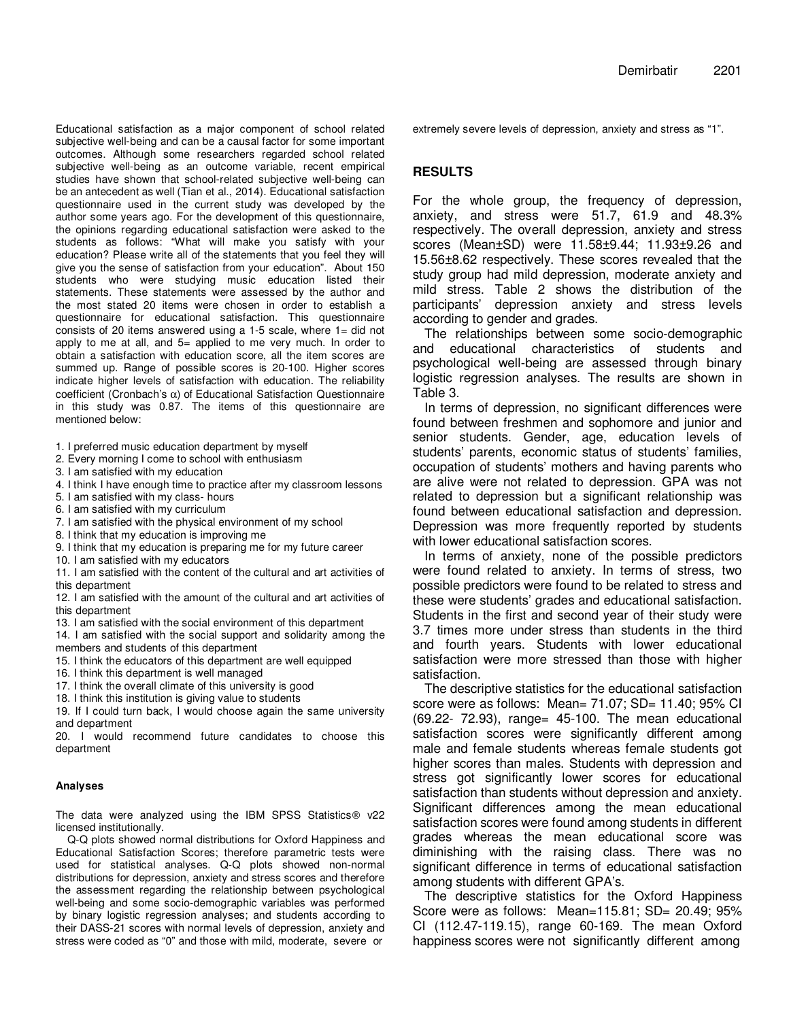Educational satisfaction as a major component of school related subjective well-being and can be a causal factor for some important outcomes. Although some researchers regarded school related subjective well-being as an outcome variable, recent empirical studies have shown that school-related subjective well-being can be an antecedent as well (Tian et al., 2014). Educational satisfaction questionnaire used in the current study was developed by the author some years ago. For the development of this questionnaire, the opinions regarding educational satisfaction were asked to the students as follows: "What will make you satisfy with your education? Please write all of the statements that you feel they will give you the sense of satisfaction from your education". About 150 students who were studying music education listed their statements. These statements were assessed by the author and the most stated 20 items were chosen in order to establish a questionnaire for educational satisfaction. This questionnaire consists of 20 items answered using a 1-5 scale, where 1= did not apply to me at all, and 5= applied to me very much. In order to obtain a satisfaction with education score, all the item scores are summed up. Range of possible scores is 20-100. Higher scores indicate higher levels of satisfaction with education. The reliability coefficient (Cronbach's α) of Educational Satisfaction Questionnaire in this study was 0.87. The items of this questionnaire are mentioned below:

1. I preferred music education department by myself

- 2. Every morning I come to school with enthusiasm
- 3. I am satisfied with my education
- 4. I think I have enough time to practice after my classroom lessons
- 5. I am satisfied with my class- hours
- 6. I am satisfied with my curriculum
- 7. I am satisfied with the physical environment of my school
- 8. I think that my education is improving me
- 9. I think that my education is preparing me for my future career
- 10. I am satisfied with my educators

11. I am satisfied with the content of the cultural and art activities of this department

12. I am satisfied with the amount of the cultural and art activities of this department

13. I am satisfied with the social environment of this department

14. I am satisfied with the social support and solidarity among the members and students of this department

- 15. I think the educators of this department are well equipped
- 16. I think this department is well managed

17. I think the overall climate of this university is good

18. I think this institution is giving value to students

19. If I could turn back, I would choose again the same university and department

20. I would recommend future candidates to choose this department

#### **Analyses**

The data were analyzed using the IBM SPSS Statistics® v22 licensed institutionally.

Q-Q plots showed normal distributions for Oxford Happiness and Educational Satisfaction Scores; therefore parametric tests were used for statistical analyses. Q-Q plots showed non-normal distributions for depression, anxiety and stress scores and therefore the assessment regarding the relationship between psychological well-being and some socio-demographic variables was performed by binary logistic regression analyses; and students according to their DASS-21 scores with normal levels of depression, anxiety and stress were coded as "0" and those with mild, moderate, severe or

extremely severe levels of depression, anxiety and stress as "1".

## **RESULTS**

For the whole group, the frequency of depression, anxiety, and stress were 51.7, 61.9 and 48.3% respectively. The overall depression, anxiety and stress scores (Mean±SD) were 11.58±9.44; 11.93±9.26 and 15.56±8.62 respectively. These scores revealed that the study group had mild depression, moderate anxiety and mild stress. Table 2 shows the distribution of the participants' depression anxiety and stress levels according to gender and grades.

The relationships between some socio-demographic and educational characteristics of students and psychological well-being are assessed through binary logistic regression analyses. The results are shown in Table 3.

In terms of depression, no significant differences were found between freshmen and sophomore and junior and senior students. Gender, age, education levels of students' parents, economic status of students' families, occupation of students' mothers and having parents who are alive were not related to depression. GPA was not related to depression but a significant relationship was found between educational satisfaction and depression. Depression was more frequently reported by students with lower educational satisfaction scores.

In terms of anxiety, none of the possible predictors were found related to anxiety. In terms of stress, two possible predictors were found to be related to stress and these were students' grades and educational satisfaction. Students in the first and second year of their study were 3.7 times more under stress than students in the third and fourth years. Students with lower educational satisfaction were more stressed than those with higher satisfaction.

The descriptive statistics for the educational satisfaction score were as follows: Mean= 71.07; SD= 11.40; 95% CI (69.22- 72.93), range= 45-100. The mean educational satisfaction scores were significantly different among male and female students whereas female students got higher scores than males. Students with depression and stress got significantly lower scores for educational satisfaction than students without depression and anxiety. Significant differences among the mean educational satisfaction scores were found among students in different grades whereas the mean educational score was diminishing with the raising class. There was no significant difference in terms of educational satisfaction among students with different GPA's.

The descriptive statistics for the Oxford Happiness Score were as follows: Mean=115.81; SD= 20.49; 95% CI (112.47-119.15), range 60-169. The mean Oxford happiness scores were not significantly different among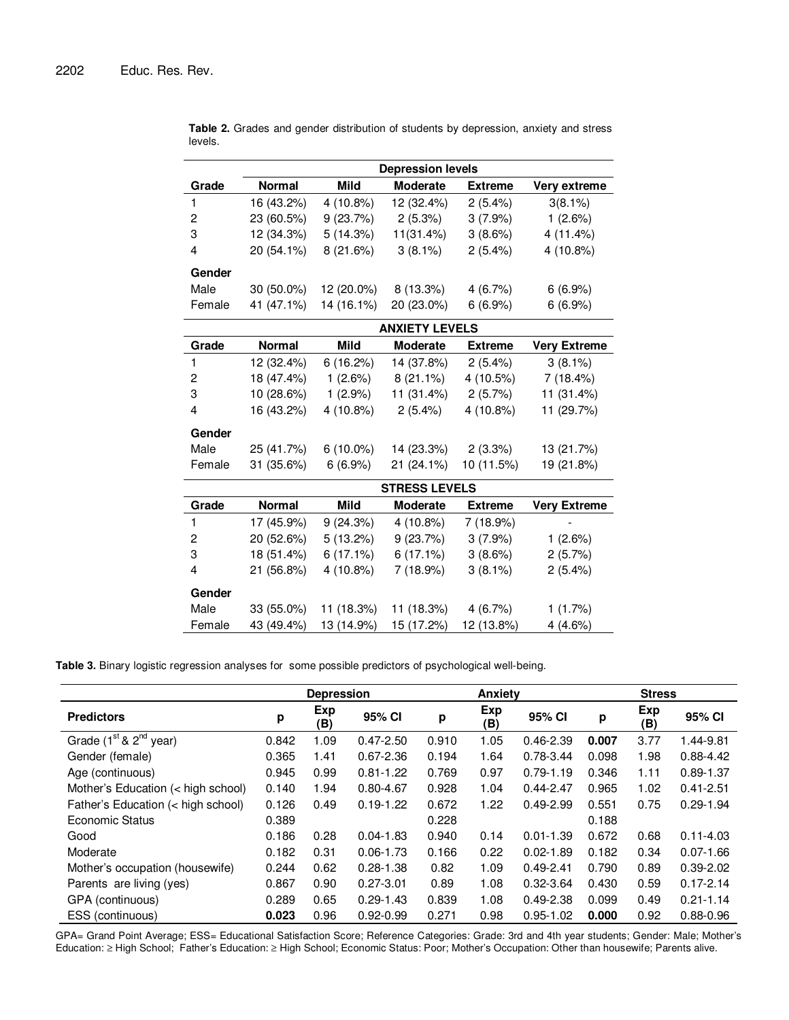|                         | <b>Depression levels</b> |             |                 |                |                     |  |  |  |
|-------------------------|--------------------------|-------------|-----------------|----------------|---------------------|--|--|--|
| Grade                   | <b>Normal</b>            | <b>Mild</b> | <b>Moderate</b> | <b>Extreme</b> | Very extreme        |  |  |  |
| 1                       | 16 (43.2%)               | 4 (10.8%)   | 12 (32.4%)      | 2(5.4%)        | 3(8.1%)             |  |  |  |
| $\overline{\mathbf{c}}$ | 23 (60.5%)               | 9(23.7%)    | 2(5.3%)         | 3(7.9%)        | 1(2.6%)             |  |  |  |
| 3                       | 12 (34.3%)               | 5(14.3%)    | 11(31.4%)       | 3(8.6%)        | 4 (11.4%)           |  |  |  |
| 4                       | 20 (54.1%)               | 8(21.6%)    | $3(8.1\%)$      | 2(5.4%)        | 4 (10.8%)           |  |  |  |
| Gender                  |                          |             |                 |                |                     |  |  |  |
| Male                    | 30 (50.0%)               | 12 (20.0%)  | 8(13.3%)        | 4(6.7%)        | 6(6.9%)             |  |  |  |
| Female                  | 41 (47.1%)               | 14 (16.1%)  | 20 (23.0%)      | 6(6.9%)        | 6(6.9%)             |  |  |  |
|                         | <b>ANXIETY LEVELS</b>    |             |                 |                |                     |  |  |  |
| Grade                   | <b>Normal</b>            | <b>Mild</b> | <b>Moderate</b> | <b>Extreme</b> | <b>Very Extreme</b> |  |  |  |
| 1                       | 12 (32.4%)               | 6(16.2%)    | 14 (37.8%)      | 2(5.4%)        | $3(8.1\%)$          |  |  |  |
| 2                       | 18 (47.4%)               | 1(2.6%)     | $8(21.1\%)$     | 4 (10.5%)      | 7(18.4%)            |  |  |  |
| 3                       | 10 (28.6%)               | $1(2.9\%)$  | 11 (31.4%)      | 2(5.7%)        | 11 (31.4%)          |  |  |  |
| 4                       | 16 (43.2%)               | 4 (10.8%)   | 2(5.4%)         | 4 (10.8%)      | 11 (29.7%)          |  |  |  |
| Gender                  |                          |             |                 |                |                     |  |  |  |
| Male                    | 25 (41.7%)               | $6(10.0\%)$ | 14 (23.3%)      | 2(3.3%)        | 13 (21.7%)          |  |  |  |
| Female                  | 31 (35.6%)               | 6(6.9%)     | 21 (24.1%)      | 10 (11.5%)     | 19 (21.8%)          |  |  |  |
|                         | <b>STRESS LEVELS</b>     |             |                 |                |                     |  |  |  |
| Grade                   | <b>Normal</b>            | <b>Mild</b> | <b>Moderate</b> | <b>Extreme</b> | <b>Very Extreme</b> |  |  |  |
| 1                       | 17 (45.9%)               | 9(24.3%)    | $4(10.8\%)$     | 7 (18.9%)      |                     |  |  |  |
| $\overline{\mathbf{c}}$ | 20 (52.6%)               | 5(13.2%)    | 9(23.7%)        | 3(7.9%)        | 1(2.6%)             |  |  |  |
| 3                       | 18 (51.4%)               | 6(17.1%)    | 6(17.1%)        | 3(8.6%)        | 2(5.7%)             |  |  |  |
| 4                       | 21 (56.8%)               | 4 (10.8%)   | 7 (18.9%)       | $3(8.1\%)$     | 2(5.4%)             |  |  |  |
| Gender                  |                          |             |                 |                |                     |  |  |  |
| Male                    | 33 (55.0%)               | 11 (18.3%)  | 11 (18.3%)      | 4(6.7%)        | 1(1.7%)             |  |  |  |
| Female                  | 43 (49.4%)               | 13 (14.9%)  | 15 (17.2%)      | 12 (13.8%)     | 4(4.6%)             |  |  |  |

**Table 2.** Grades and gender distribution of students by depression, anxiety and stress levels.

**Table 3.** Binary logistic regression analyses for some possible predictors of psychological well-being.

|                                    |       | <b>Depression</b> |               |       | <b>Anxiety</b>    |               |       | <b>Stress</b>     |               |
|------------------------------------|-------|-------------------|---------------|-------|-------------------|---------------|-------|-------------------|---------------|
| <b>Predictors</b>                  | р     | <b>Exp</b><br>(B) | 95% CI        | p     | <b>Exp</b><br>(B) | 95% CI        | p     | <b>Exp</b><br>(B) | 95% CI        |
| Grade $(1st$ & $2nd$ year)         | 0.842 | 1.09              | $0.47 - 2.50$ | 0.910 | 1.05              | $0.46 - 2.39$ | 0.007 | 3.77              | 1.44-9.81     |
| Gender (female)                    | 0.365 | 1.41              | $0.67 - 2.36$ | 0.194 | 1.64              | $0.78 - 3.44$ | 0.098 | 1.98              | $0.88 - 4.42$ |
| Age (continuous)                   | 0.945 | 0.99              | $0.81 - 1.22$ | 0.769 | 0.97              | $0.79 - 1.19$ | 0.346 | 1.11              | $0.89 - 1.37$ |
| Mother's Education (< high school) | 0.140 | 1.94              | $0.80 - 4.67$ | 0.928 | 1.04              | $0.44 - 2.47$ | 0.965 | 1.02              | $0.41 - 2.51$ |
| Father's Education (< high school) | 0.126 | 0.49              | $0.19 - 1.22$ | 0.672 | 1.22              | $0.49 - 2.99$ | 0.551 | 0.75              | $0.29 - 1.94$ |
| Economic Status                    | 0.389 |                   |               | 0.228 |                   |               | 0.188 |                   |               |
| Good                               | 0.186 | 0.28              | $0.04 - 1.83$ | 0.940 | 0.14              | $0.01 - 1.39$ | 0.672 | 0.68              | $0.11 - 4.03$ |
| Moderate                           | 0.182 | 0.31              | $0.06 - 1.73$ | 0.166 | 0.22              | $0.02 - 1.89$ | 0.182 | 0.34              | $0.07 - 1.66$ |
| Mother's occupation (housewife)    | 0.244 | 0.62              | $0.28 - 1.38$ | 0.82  | 1.09              | $0.49 - 2.41$ | 0.790 | 0.89              | $0.39 - 2.02$ |
| Parents are living (yes)           | 0.867 | 0.90              | $0.27 - 3.01$ | 0.89  | 1.08              | $0.32 - 3.64$ | 0.430 | 0.59              | $0.17 - 2.14$ |
| GPA (continuous)                   | 0.289 | 0.65              | $0.29 - 1.43$ | 0.839 | 1.08              | $0.49 - 2.38$ | 0.099 | 0.49              | $0.21 - 1.14$ |
| ESS (continuous)                   | 0.023 | 0.96              | $0.92 - 0.99$ | 0.271 | 0.98              | $0.95 - 1.02$ | 0.000 | 0.92              | $0.88 - 0.96$ |

GPA= Grand Point Average; ESS= Educational Satisfaction Score; Reference Categories: Grade: 3rd and 4th year students; Gender: Male; Mother's Education: ≥ High School; Father's Education: ≥ High School; Economic Status: Poor; Mother's Occupation: Other than housewife; Parents alive.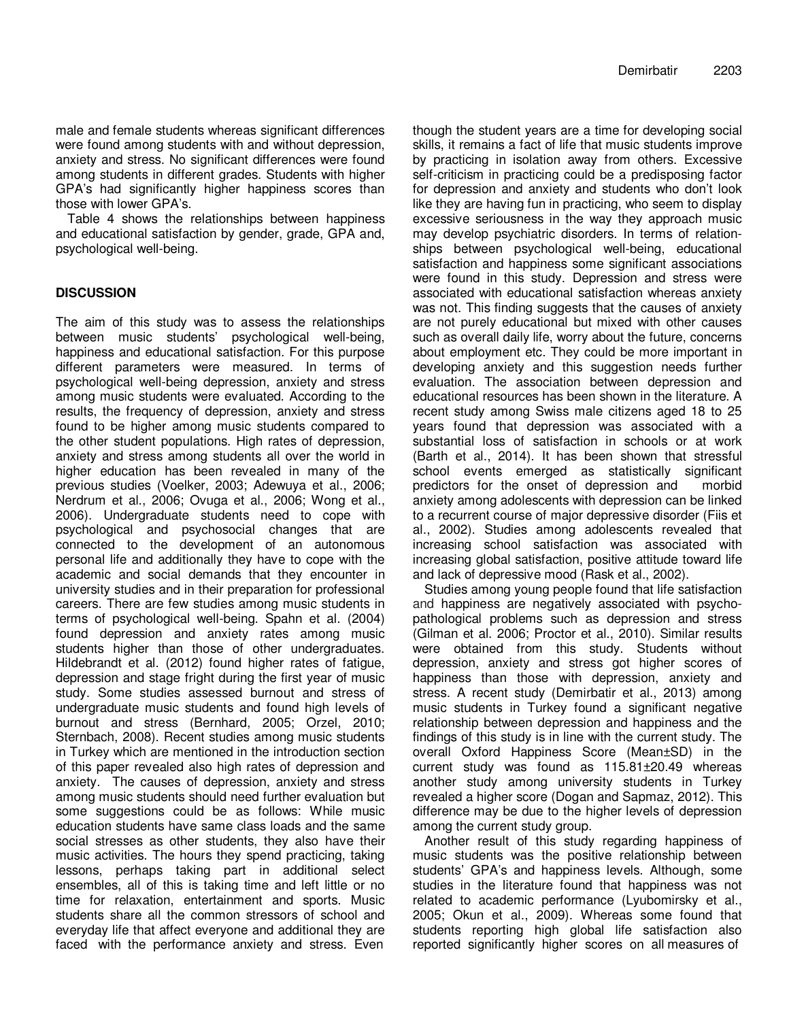male and female students whereas significant differences were found among students with and without depression, anxiety and stress. No significant differences were found among students in different grades. Students with higher GPA's had significantly higher happiness scores than those with lower GPA's.

Table 4 shows the relationships between happiness and educational satisfaction by gender, grade, GPA and, psychological well-being.

# **DISCUSSION**

The aim of this study was to assess the relationships between music students' psychological well-being, happiness and educational satisfaction. For this purpose different parameters were measured. In terms of psychological well-being depression, anxiety and stress among music students were evaluated. According to the results, the frequency of depression, anxiety and stress found to be higher among music students compared to the other student populations. High rates of depression, anxiety and stress among students all over the world in higher education has been revealed in many of the previous studies (Voelker, 2003; Adewuya et al., 2006; Nerdrum et al., 2006; Ovuga et al., 2006; Wong et al., 2006). Undergraduate students need to cope with psychological and psychosocial changes that are connected to the development of an autonomous personal life and additionally they have to cope with the academic and social demands that they encounter in university studies and in their preparation for professional careers. There are few studies among music students in terms of psychological well-being. Spahn et al. (2004) found depression and anxiety rates among music students higher than those of other undergraduates. Hildebrandt et al. (2012) found higher rates of fatigue, depression and stage fright during the first year of music study. Some studies assessed burnout and stress of undergraduate music students and found high levels of burnout and stress (Bernhard, 2005; Orzel, 2010; Sternbach, 2008). Recent studies among music students in Turkey which are mentioned in the introduction section of this paper revealed also high rates of depression and anxiety. The causes of depression, anxiety and stress among music students should need further evaluation but some suggestions could be as follows: While music education students have same class loads and the same social stresses as other students, they also have their music activities. The hours they spend practicing, taking lessons, perhaps taking part in additional select ensembles, all of this is taking time and left little or no time for relaxation, entertainment and sports. Music students share all the common stressors of school and everyday life that affect everyone and additional they are faced with the performance anxiety and stress. Even

though the student years are a time for developing social skills, it remains a fact of life that music students improve by practicing in isolation away from others. Excessive self-criticism in practicing could be a predisposing factor for depression and anxiety and students who don't look like they are having fun in practicing, who seem to display excessive seriousness in the way they approach music may develop psychiatric disorders. In terms of relationships between psychological well-being, educational satisfaction and happiness some significant associations were found in this study. Depression and stress were associated with educational satisfaction whereas anxiety was not. This finding suggests that the causes of anxiety are not purely educational but mixed with other causes such as overall daily life, worry about the future, concerns about employment etc. They could be more important in developing anxiety and this suggestion needs further evaluation. The association between depression and educational resources has been shown in the literature. A recent study among Swiss male citizens aged 18 to 25 years found that depression was associated with a substantial loss of satisfaction in schools or at work (Barth et al., 2014). It has been shown that stressful school events emerged as statistically significant predictors for the onset of depression and morbid anxiety among adolescents with depression can be linked to a recurrent course of major depressive disorder (Fiis et al., 2002). Studies among adolescents revealed that increasing school satisfaction was associated with increasing global satisfaction, positive attitude toward life and lack of depressive mood (Rask et al., 2002).

Studies among young people found that life satisfaction and happiness are negatively associated with psychopathological problems such as depression and stress (Gilman et al. 2006; Proctor et al., 2010). Similar results were obtained from this study. Students without depression, anxiety and stress got higher scores of happiness than those with depression, anxiety and stress. A recent study (Demirbatir et al., 2013) among music students in Turkey found a significant negative relationship between depression and happiness and the findings of this study is in line with the current study. The overall Oxford Happiness Score (Mean±SD) in the current study was found as 115.81±20.49 whereas another study among university students in Turkey revealed a higher score (Dogan and Sapmaz, 2012). This difference may be due to the higher levels of depression among the current study group.

Another result of this study regarding happiness of music students was the positive relationship between students' GPA's and happiness levels. Although, some studies in the literature found that happiness was not related to academic performance (Lyubomirsky et al., 2005; Okun et al., 2009). Whereas some found that students reporting high global life satisfaction also reported significantly higher scores on all measures of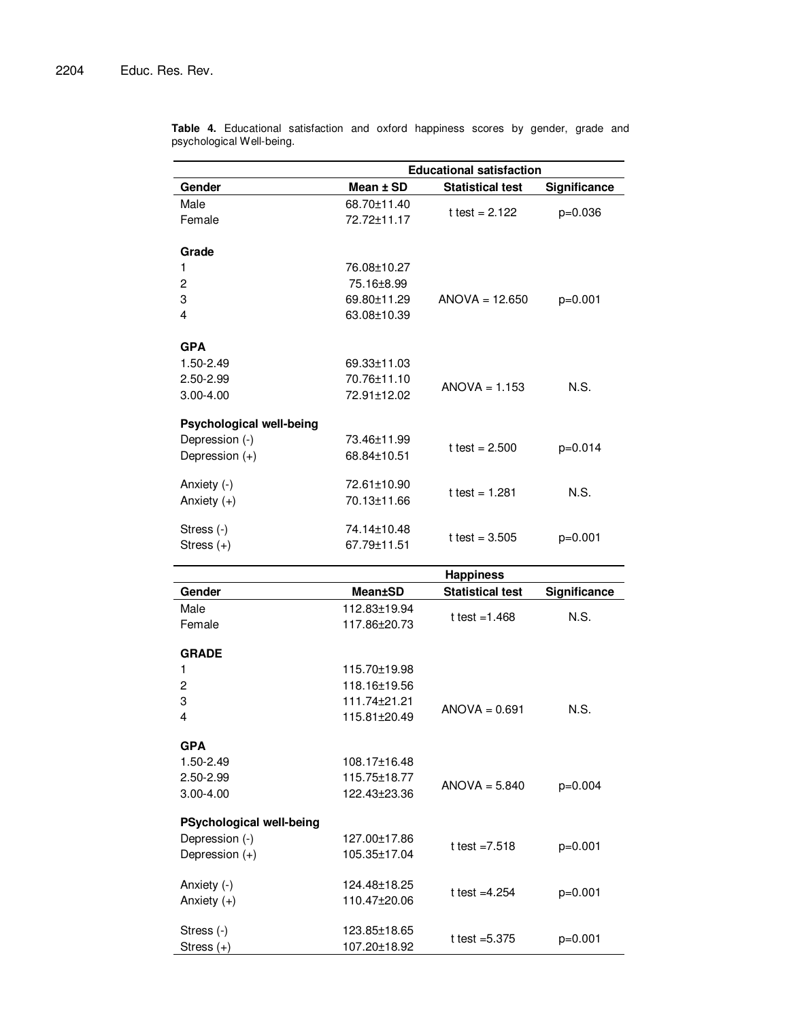| <b>Educational satisfaction</b> |                |                         |              |  |  |
|---------------------------------|----------------|-------------------------|--------------|--|--|
| Gender                          | Mean $±$ SD    | <b>Statistical test</b> | Significance |  |  |
| Male                            | 68.70±11.40    |                         |              |  |  |
| Female                          | 72.72±11.17    | t test = $2.122$        | $p=0.036$    |  |  |
| Grade                           |                |                         |              |  |  |
| 1                               | 76.08±10.27    |                         |              |  |  |
| 2                               | 75.16±8.99     |                         | $p=0.001$    |  |  |
| 3                               | 69.80±11.29    | $ANOVA = 12.650$        |              |  |  |
| 4                               | 63.08±10.39    |                         |              |  |  |
| <b>GPA</b>                      |                |                         |              |  |  |
| 1.50-2.49                       | 69.33±11.03    |                         |              |  |  |
| 2.50-2.99                       | 70.76±11.10    |                         |              |  |  |
| 3.00-4.00                       | 72.91±12.02    | $ANOVA = 1.153$         | N.S.         |  |  |
| Psychological well-being        |                |                         |              |  |  |
| Depression (-)                  | 73.46±11.99    |                         |              |  |  |
| Depression (+)                  | 68.84±10.51    | t test = $2.500$        | $p=0.014$    |  |  |
| Anxiety (-)                     | 72.61±10.90    | t test = $1.281$        | N.S.         |  |  |
| Anxiety $(+)$                   | 70.13±11.66    |                         |              |  |  |
| Stress (-)                      | 74.14±10.48    |                         |              |  |  |
| Stress $(+)$                    | 67.79±11.51    | t test = $3.505$        | $p=0.001$    |  |  |
|                                 |                | <b>Happiness</b>        |              |  |  |
| Gender                          | <b>Mean±SD</b> | <b>Statistical test</b> | Significance |  |  |
| Male                            | 112.83±19.94   | t test $=1.468$         | N.S.         |  |  |
| Female                          | 117.86±20.73   |                         |              |  |  |
| <b>GRADE</b>                    |                |                         |              |  |  |
| 1                               | 115.70±19.98   |                         |              |  |  |
| 2                               | 118.16±19.56   |                         |              |  |  |
| 3                               | 111.74±21.21   | $ANOVA = 0.691$         | N.S.         |  |  |
| 4                               | 115.81±20.49   |                         |              |  |  |
| <b>GPA</b>                      |                |                         |              |  |  |
| 1.50-2.49                       | 108.17±16.48   |                         |              |  |  |
| 2.50-2.99                       | 115.75±18.77   | $ANOVA = 5.840$         |              |  |  |
| 3.00-4.00                       | 122.43±23.36   |                         | $p=0.004$    |  |  |
| PSychological well-being        |                |                         |              |  |  |
| Depression (-)                  | 127.00±17.86   |                         |              |  |  |
| Depression (+)                  | 105.35±17.04   | t test $=7.518$         | p=0.001      |  |  |
| Anxiety (-)                     | 124.48±18.25   |                         | p=0.001      |  |  |
|                                 | 110.47±20.06   | t test $=4.254$         |              |  |  |
|                                 |                |                         |              |  |  |
| Anxiety $(+)$<br>Stress (-)     | 123.85±18.65   | t test $=5.375$         | p=0.001      |  |  |

**Table 4.** Educational satisfaction and oxford happiness scores by gender, grade and psychological Well-being.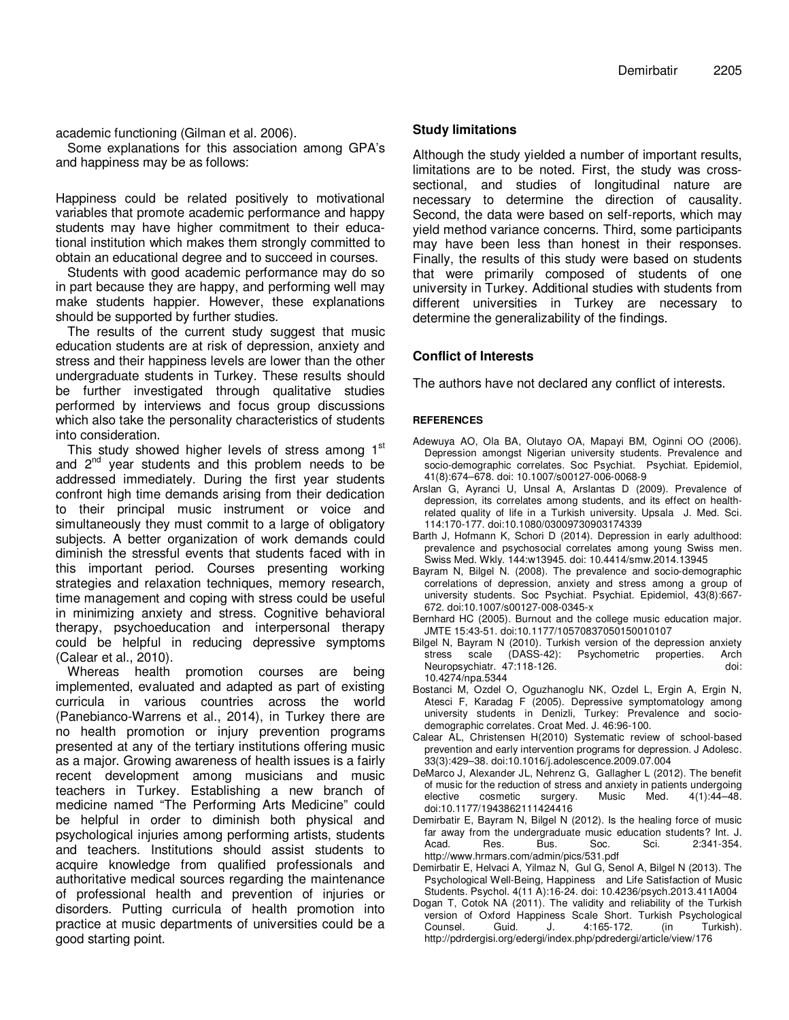academic functioning (Gilman et al. 2006).

Some explanations for this association among GPA's and happiness may be as follows:

Happiness could be related positively to motivational variables that promote academic performance and happy students may have higher commitment to their educational institution which makes them strongly committed to obtain an educational degree and to succeed in courses.

Students with good academic performance may do so in part because they are happy, and performing well may make students happier. However, these explanations should be supported by further studies.

The results of the current study suggest that music education students are at risk of depression, anxiety and stress and their happiness levels are lower than the other undergraduate students in Turkey. These results should be further investigated through qualitative studies performed by interviews and focus group discussions which also take the personality characteristics of students into consideration.

This study showed higher levels of stress among 1<sup>st</sup> and  $2^{nd}$  year students and this problem needs to be addressed immediately. During the first year students confront high time demands arising from their dedication to their principal music instrument or voice and simultaneously they must commit to a large of obligatory subjects. A better organization of work demands could diminish the stressful events that students faced with in this important period. Courses presenting working strategies and relaxation techniques, memory research, time management and coping with stress could be useful in minimizing anxiety and stress. Cognitive behavioral therapy, psychoeducation and interpersonal therapy could be helpful in reducing depressive symptoms (Calear et al., 2010).

Whereas health promotion courses are being implemented, evaluated and adapted as part of existing curricula in various countries across the world (Panebianco-Warrens et al., 2014), in Turkey there are no health promotion or injury prevention programs presented at any of the tertiary institutions offering music as a major. Growing awareness of health issues is a fairly recent development among musicians and music teachers in Turkey. Establishing a new branch of medicine named "The Performing Arts Medicine" could be helpful in order to diminish both physical and psychological injuries among performing artists, students and teachers. Institutions should assist students to acquire knowledge from qualified professionals and authoritative medical sources regarding the maintenance of professional health and prevention of injuries or disorders. Putting curricula of health promotion into practice at music departments of universities could be a good starting point.

## **Study limitations**

Although the study yielded a number of important results, limitations are to be noted. First, the study was crosssectional, and studies of longitudinal nature are necessary to determine the direction of causality. Second, the data were based on self-reports, which may yield method variance concerns. Third, some participants may have been less than honest in their responses. Finally, the results of this study were based on students that were primarily composed of students of one university in Turkey. Additional studies with students from different universities in Turkey are necessary to determine the generalizability of the findings.

# **Conflict of Interests**

The authors have not declared any conflict of interests.

#### **REFERENCES**

- Adewuya AO, Ola BA, Olutayo OA, Mapayi BM, Oginni OO (2006). Depression amongst Nigerian university students. Prevalence and socio-demographic correlates. Soc Psychiat. Psychiat. Epidemiol, 41(8):674–678. doi: 10.1007/s00127-006-0068-9
- Arslan G, Ayranci U, Unsal A, Arslantas D (2009). Prevalence of depression, its correlates among students, and its effect on healthrelated quality of life in a Turkish university. Upsala J. Med. Sci. 114:170-177. doi:10.1080/03009730903174339
- Barth J, Hofmann K, Schori D (2014). Depression in early adulthood: prevalence and psychosocial correlates among young Swiss men. Swiss Med. Wkly. 144:w13945. doi: 10.4414/smw.2014.13945
- Bayram N, Bilgel N. (2008). The prevalence and socio-demographic correlations of depression, anxiety and stress among a group of university students. Soc Psychiat. Psychiat. Epidemiol, 43(8):667- 672. doi:10.1007/s00127-008-0345-x
- Bernhard HC (2005). Burnout and the college music education major. JMTE 15:43-51. doi:10.1177/10570837050150010107
- Bilgel N, Bayram N (2010). Turkish version of the depression anxiety stress scale (DASS-42): Psychometric properties. Arch Neuropsychiatr. 47:118-126. doi: 10.4274/npa.5344
- Bostanci M, Ozdel O, Oguzhanoglu NK, Ozdel L, Ergin A, Ergin N, Atesci F, Karadag F (2005). Depressive symptomatology among university students in Denizli, Turkey: Prevalence and sociodemographic correlates. Croat Med. J. 46:96-100.
- Calear AL, Christensen H(2010) Systematic review of school-based prevention and early intervention programs for depression. J Adolesc. 33(3):429–38. doi:10.1016/j.adolescence.2009.07.004
- DeMarco J, Alexander JL, Nehrenz G, Gallagher L (2012). The benefit of music for the reduction of stress and anxiety in patients undergoing<br>elective cosmetic surgery. Music Med. 4(1):44-48. elective cosmetic surgery. Music Med. 4(1):44–48. doi:10.1177/1943862111424416
- Demirbatir E, Bayram N, Bilgel N (2012). Is the healing force of music far away from the undergraduate music education students? Int. J. Acad. Res. Bus. Soc. Sci. 2:341-354. http://www.hrmars.com/admin/pics/531.pdf
- Demirbatir E, Helvaci A, Yilmaz N, Gul G, Senol A, Bilgel N (2013). The Psychological Well-Being, Happiness and Life Satisfaction of Music Students. Psychol. 4(11 A):16-24. doi: 10.4236/psych.2013.411A004
- Dogan T, Cotok NA (2011). The validity and reliability of the Turkish version of Oxford Happiness Scale Short. Turkish Psychological Counsel. Guid. J. 4:165-172. (in Turkish). http://pdrdergisi.org/edergi/index.php/pdredergi/article/view/176